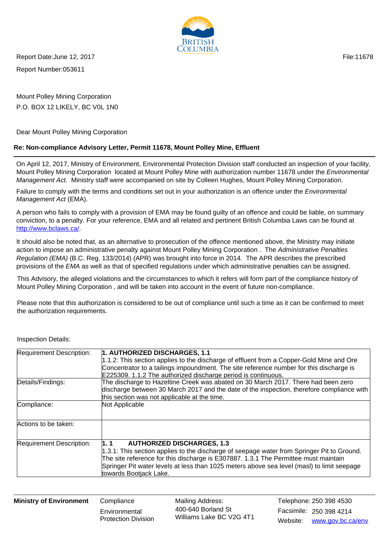

Report Number:053611 Report Date:June 12, 2017 **File:11678** File:11678

Mount Polley Mining Corporation P.O. BOX 12 LIKELY, BC V0L 1N0

Dear Mount Polley Mining Corporation

## **Re: Non-compliance Advisory Letter, Permit 11678, Mount Polley Mine, Effluent**

On April 12, 2017, Ministry of Environment, Environmental Protection Division staff conducted an inspection of your facility, Mount Polley Mining Corporation located at Mount Polley Mine with authorization number 11678 under the Environmental Management Act. Ministry staff were accompanied on site by Colleen Hughes, Mount Polley Mining Corporation.

Failure to comply with the terms and conditions set out in your authorization is an offence under the *Environmental* Management Act (EMA).

A person who fails to comply with a provision of EMA may be found guilty of an offence and could be liable, on summary conviction, to a penalty. For your reference, EMA and all related and pertinent British Columbia Laws can be found at http://www.bclaws.ca/.

It should also be noted that, as an alternative to prosecution of the offence mentioned above, the Ministry may initiate action to impose an administrative penalty against Mount Polley Mining Corporation . The Administrative Penalties Regulation (EMA) (B.C. Reg. 133/2014) (APR) was brought into force in 2014. The APR describes the prescribed provisions of the EMA as well as that of specified regulations under which administrative penalties can be assigned.

This Advisory, the alleged violations and the circumstances to which it refers will form part of the compliance history of Mount Polley Mining Corporation , and will be taken into account in the event of future non-compliance.

Please note that this authorization is considered to be out of compliance until such a time as it can be confirmed to meet the authorization requirements.

| <b>Requirement Description:</b> | 1. AUTHORIZED DISCHARGES, 1.1<br>1.1.2: This section applies to the discharge of effluent from a Copper-Gold Mine and Ore<br>Concentrator to a tailings impoundment. The site reference number for this discharge is<br>E225309. 1.1.2 The authorized discharge period is continuous.                                                                 |
|---------------------------------|-------------------------------------------------------------------------------------------------------------------------------------------------------------------------------------------------------------------------------------------------------------------------------------------------------------------------------------------------------|
| Details/Findings:               | The discharge to Hazeltine Creek was abated on 30 March 2017. There had been zero<br>discharge between 30 March 2017 and the date of the inspection, therefore compliance with<br>this section was not applicable at the time.                                                                                                                        |
| Compliance:                     | Not Applicable                                                                                                                                                                                                                                                                                                                                        |
| Actions to be taken:            |                                                                                                                                                                                                                                                                                                                                                       |
| Requirement Description:        | 1.1<br><b>AUTHORIZED DISCHARGES, 1.3</b><br>1.3.1: This section applies to the discharge of seepage water from Springer Pit to Ground.<br>The site reference for this discharge is E307887. 1.3.1 The Permittee must maintain<br>Springer Pit water levels at less than 1025 meters above sea level (masl) to limit seepage<br>towards Bootjack Lake. |

Inspection Details:

**Ministry of Environment** Compliance

**Environmental** Protection Division Mailing Address: Facsimile: 250 398 4214 400-640 Borland St Williams Lake BC V2G 4T1

Website: www.gov.bc.ca/env Telephone: 250 398 4530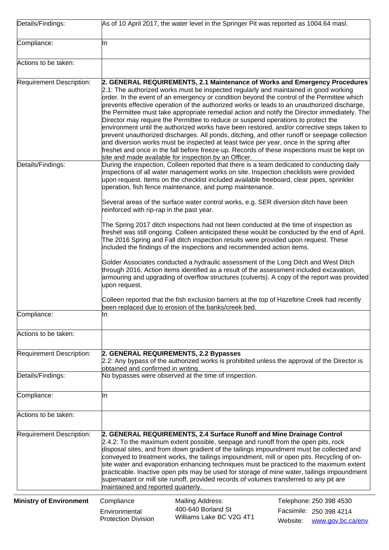| Details/Findings:                             | As of 10 April 2017, the water level in the Springer Pit was reported as 1004.64 masl.                                                                                                                                                                                                                                                                                                                                                                                                                                                                                                                                                                                                                                                                                                                                                                                                                                                                                                                                                                                                                                                                                                                                                                                                                   |
|-----------------------------------------------|----------------------------------------------------------------------------------------------------------------------------------------------------------------------------------------------------------------------------------------------------------------------------------------------------------------------------------------------------------------------------------------------------------------------------------------------------------------------------------------------------------------------------------------------------------------------------------------------------------------------------------------------------------------------------------------------------------------------------------------------------------------------------------------------------------------------------------------------------------------------------------------------------------------------------------------------------------------------------------------------------------------------------------------------------------------------------------------------------------------------------------------------------------------------------------------------------------------------------------------------------------------------------------------------------------|
| Compliance:                                   | lln                                                                                                                                                                                                                                                                                                                                                                                                                                                                                                                                                                                                                                                                                                                                                                                                                                                                                                                                                                                                                                                                                                                                                                                                                                                                                                      |
| Actions to be taken:                          |                                                                                                                                                                                                                                                                                                                                                                                                                                                                                                                                                                                                                                                                                                                                                                                                                                                                                                                                                                                                                                                                                                                                                                                                                                                                                                          |
| Requirement Description:                      | 2. GENERAL REQUIREMENTS, 2.1 Maintenance of Works and Emergency Procedures<br>2.1: The authorized works must be inspected regularly and maintained in good working<br>order. In the event of an emergency or condition beyond the control of the Permittee which<br>prevents effective operation of the authorized works or leads to an unauthorized discharge,<br>the Permittee must take appropriate remedial action and notify the Director immediately. The<br>Director may require the Permittee to reduce or suspend operations to protect the<br>environment until the authorized works have been restored, and/or corrective steps taken to<br>prevent unauthorized discharges. All ponds, ditching, and other runoff or seepage collection<br>and diversion works must be inspected at least twice per year, once in the spring after<br>freshet and once in the fall before freeze-up. Records of these inspections must be kept on<br>site and made available for inspection by an Officer.                                                                                                                                                                                                                                                                                                   |
| Details/Findings:                             | During the inspection, Colleen reported that there is a team dedicated to conducting daily<br>inspections of all water management works on site. Inspection checklists were provided<br>upon request. Items on the checklist included available freeboard, clear pipes, sprinkler<br>operation, fish fence maintenance, and pump maintenance.<br>Several areas of the surface water control works, e.g. SER diversion ditch have been<br>reinforced with rip-rap in the past year.<br>The Spring 2017 ditch inspections had not been conducted at the time of inspection as<br>freshet was still ongoing. Colleen anticipated these would be conducted by the end of April.<br>The 2016 Spring and Fall ditch inspection results were provided upon request. These<br>included the findings of the inspections and recommended action items.<br>Golder Associates conducted a hydraulic assessment of the Long Ditch and West Ditch<br>through 2016. Action items identified as a result of the assessment included excavation,<br>armouring and upgrading of overflow structures (culverts). A copy of the report was provided<br>upon request.<br>Colleen reported that the fish exclusion barriers at the top of Hazeltine Creek had recently<br>been replaced due to erosion of the banks/creek bed. |
| Compliance:                                   | lln                                                                                                                                                                                                                                                                                                                                                                                                                                                                                                                                                                                                                                                                                                                                                                                                                                                                                                                                                                                                                                                                                                                                                                                                                                                                                                      |
| Actions to be taken:                          |                                                                                                                                                                                                                                                                                                                                                                                                                                                                                                                                                                                                                                                                                                                                                                                                                                                                                                                                                                                                                                                                                                                                                                                                                                                                                                          |
| Requirement Description:<br>Details/Findings: | 2. GENERAL REQUIREMENTS, 2.2 Bypasses<br>2.2: Any bypass of the authorized works is prohibited unless the approval of the Director is<br>obtained and confirmed in writing.<br>No bypasses were observed at the time of inspection.                                                                                                                                                                                                                                                                                                                                                                                                                                                                                                                                                                                                                                                                                                                                                                                                                                                                                                                                                                                                                                                                      |
| Compliance:                                   | lln.                                                                                                                                                                                                                                                                                                                                                                                                                                                                                                                                                                                                                                                                                                                                                                                                                                                                                                                                                                                                                                                                                                                                                                                                                                                                                                     |
| Actions to be taken:                          |                                                                                                                                                                                                                                                                                                                                                                                                                                                                                                                                                                                                                                                                                                                                                                                                                                                                                                                                                                                                                                                                                                                                                                                                                                                                                                          |
| Requirement Description:                      | 2. GENERAL REQUIREMENTS, 2.4 Surface Runoff and Mine Drainage Control<br>2.4.2: To the maximum extent possible, seepage and runoff from the open pits, rock<br>disposal sites, and from down gradient of the tailings impoundment must be collected and<br>conveyed to treatment works, the tailings impoundment, mill or open pits. Recycling of on-<br>site water and evaporation enhancing techniques must be practiced to the maximum extent<br>practicable. Inactive open pits may be used for storage of mine water, tailings impoundment<br>supernatant or mill site runoff, provided records of volumes transferred to any pit are<br>maintained and reported quarterly.                                                                                                                                                                                                                                                                                                                                                                                                                                                                                                                                                                                                                         |

**Ministry of Environment** Compliance

**Environmental** Protection Division Mailing Address:<br>400-640 Borland St Facsimile: 250 398 4214 400-640 Borland St Williams Lake BC V2G 4T1

Website: www.gov.bc.ca/env Telephone: 250 398 4530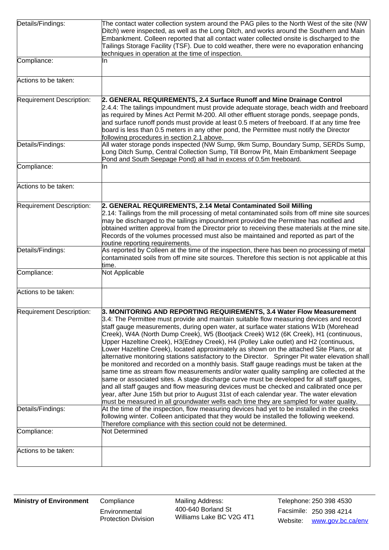| Details/Findings:                             | The contact water collection system around the PAG piles to the North West of the site (NW<br>Ditch) were inspected, as well as the Long Ditch, and works around the Southern and Main<br>Embankment. Colleen reported that all contact water collected onsite is discharged to the<br>Tailings Storage Facility (TSF). Due to cold weather, there were no evaporation enhancing<br>techniques in operation at the time of inspection.                                                                                                                                                                                                                                                                                                                                                                                                                                                                                                                                                                                                                                                                                                                                                                                                                                                                       |  |  |
|-----------------------------------------------|--------------------------------------------------------------------------------------------------------------------------------------------------------------------------------------------------------------------------------------------------------------------------------------------------------------------------------------------------------------------------------------------------------------------------------------------------------------------------------------------------------------------------------------------------------------------------------------------------------------------------------------------------------------------------------------------------------------------------------------------------------------------------------------------------------------------------------------------------------------------------------------------------------------------------------------------------------------------------------------------------------------------------------------------------------------------------------------------------------------------------------------------------------------------------------------------------------------------------------------------------------------------------------------------------------------|--|--|
| Compliance:                                   | In                                                                                                                                                                                                                                                                                                                                                                                                                                                                                                                                                                                                                                                                                                                                                                                                                                                                                                                                                                                                                                                                                                                                                                                                                                                                                                           |  |  |
| Actions to be taken:                          |                                                                                                                                                                                                                                                                                                                                                                                                                                                                                                                                                                                                                                                                                                                                                                                                                                                                                                                                                                                                                                                                                                                                                                                                                                                                                                              |  |  |
| Requirement Description:                      | 2. GENERAL REQUIREMENTS, 2.4 Surface Runoff and Mine Drainage Control<br>2.4.4: The tailings impoundment must provide adequate storage, beach width and freeboard<br>as required by Mines Act Permit M-200. All other effluent storage ponds, seepage ponds,<br>and surface runoff ponds must provide at least 0.5 meters of freeboard. If at any time free<br>board is less than 0.5 meters in any other pond, the Permittee must notify the Director<br>following procedures in section 2.1 above.                                                                                                                                                                                                                                                                                                                                                                                                                                                                                                                                                                                                                                                                                                                                                                                                         |  |  |
| Details/Findings:                             | All water storage ponds inspected (NW Sump, 9km Sump, Boundary Sump, SERDs Sump,<br>Long Ditch Sump, Central Collection Sump, Till Borrow Pit, Main Embankment Seepage<br>Pond and South Seepage Pond) all had in excess of 0.5m freeboard.                                                                                                                                                                                                                                                                                                                                                                                                                                                                                                                                                                                                                                                                                                                                                                                                                                                                                                                                                                                                                                                                  |  |  |
| Compliance:                                   | In                                                                                                                                                                                                                                                                                                                                                                                                                                                                                                                                                                                                                                                                                                                                                                                                                                                                                                                                                                                                                                                                                                                                                                                                                                                                                                           |  |  |
| Actions to be taken:                          |                                                                                                                                                                                                                                                                                                                                                                                                                                                                                                                                                                                                                                                                                                                                                                                                                                                                                                                                                                                                                                                                                                                                                                                                                                                                                                              |  |  |
| Requirement Description:                      | 2. GENERAL REQUIREMENTS, 2.14 Metal Contaminated Soil Milling<br>2.14: Tailings from the mill processing of metal contaminated soils from off mine site sources<br>may be discharged to the tailings impoundment provided the Permittee has notified and<br>obtained written approval from the Director prior to receiving these materials at the mine site.<br>Records of the volumes processed must also be maintained and reported as part of the<br>routine reporting requirements.                                                                                                                                                                                                                                                                                                                                                                                                                                                                                                                                                                                                                                                                                                                                                                                                                      |  |  |
| Details/Findings:                             | As reported by Colleen at the time of the inspection, there has been no processing of metal<br>contaminated soils from off mine site sources. Therefore this section is not applicable at this<br>time.                                                                                                                                                                                                                                                                                                                                                                                                                                                                                                                                                                                                                                                                                                                                                                                                                                                                                                                                                                                                                                                                                                      |  |  |
| Compliance:                                   | Not Applicable                                                                                                                                                                                                                                                                                                                                                                                                                                                                                                                                                                                                                                                                                                                                                                                                                                                                                                                                                                                                                                                                                                                                                                                                                                                                                               |  |  |
| Actions to be taken:                          |                                                                                                                                                                                                                                                                                                                                                                                                                                                                                                                                                                                                                                                                                                                                                                                                                                                                                                                                                                                                                                                                                                                                                                                                                                                                                                              |  |  |
| Requirement Description:<br>Details/Findings: | 3. MONITORING AND REPORTING REQUIREMENTS, 3.4 Water Flow Measurement<br>3.4: The Permittee must provide and maintain suitable flow measuring devices and record<br>staff gauge measurements, during open water, at surface water stations W1b (Morehead<br>Creek), W4A (North Dump Creek), W5 (Bootjack Creek) W12 (6K Creek), H1 (continuous,<br>Upper Hazeltine Creek), H3(Edney Creek), H4 (Polley Lake outlet) and H2 (continuous,<br>Lower Hazeltine Creek), located approximately as shown on the attached Site Plans, or at<br>alternative monitoring stations satisfactory to the Director. Springer Pit water elevation shall<br>be monitored and recorded on a monthly basis. Staff gauge readings must be taken at the<br>same time as stream flow measurements and/or water quality sampling are collected at the<br>same or associated sites. A stage discharge curve must be developed for all staff gauges,<br>and all staff gauges and flow measuring devices must be checked and calibrated once per<br>year, after June 15th but prior to August 31st of each calendar year. The water elevation<br>must be measured in all groundwater wells each time they are sampled for water quality.<br>At the time of the inspection, flow measuring devices had yet to be installed in the creeks |  |  |
| Compliance:                                   | following winter. Colleen anticipated that they would be installed the following weekend.<br>Therefore compliance with this section could not be determined.<br>Not Determined                                                                                                                                                                                                                                                                                                                                                                                                                                                                                                                                                                                                                                                                                                                                                                                                                                                                                                                                                                                                                                                                                                                               |  |  |
|                                               |                                                                                                                                                                                                                                                                                                                                                                                                                                                                                                                                                                                                                                                                                                                                                                                                                                                                                                                                                                                                                                                                                                                                                                                                                                                                                                              |  |  |
| Actions to be taken:                          |                                                                                                                                                                                                                                                                                                                                                                                                                                                                                                                                                                                                                                                                                                                                                                                                                                                                                                                                                                                                                                                                                                                                                                                                                                                                                                              |  |  |

**Ministry of Environment** Compliance

**Environmental** Protection Division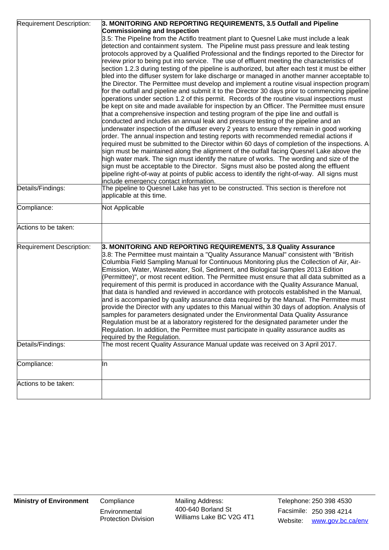| Requirement Description: | 3. MONITORING AND REPORTING REQUIREMENTS, 3.5 Outfall and Pipeline                                           |
|--------------------------|--------------------------------------------------------------------------------------------------------------|
|                          | <b>Commissioning and Inspection</b>                                                                          |
|                          | 3.5: The Pipeline from the Actiflo treatment plant to Quesnel Lake must include a leak                       |
|                          | detection and containment system. The Pipeline must pass pressure and leak testing                           |
|                          | protocols approved by a Qualified Professional and the findings reported to the Director for                 |
|                          | review prior to being put into service. The use of effluent meeting the characteristics of                   |
|                          | section 1.2.3 during testing of the pipeline is authorized, but after each test it must be either            |
|                          | bled into the diffuser system for lake discharge or managed in another manner acceptable to                  |
|                          | the Director. The Permittee must develop and implement a routine visual inspection program                   |
|                          | for the outfall and pipeline and submit it to the Director 30 days prior to commencing pipeline              |
|                          | operations under section 1.2 of this permit. Records of the routine visual inspections must                  |
|                          | be kept on site and made available for inspection by an Officer. The Permittee must ensure                   |
|                          | that a comprehensive inspection and testing program of the pipe line and outfall is                          |
|                          | conducted and includes an annual leak and pressure testing of the pipeline and an                            |
|                          | underwater inspection of the diffuser every 2 years to ensure they remain in good working                    |
|                          | order. The annual inspection and testing reports with recommended remedial actions if                        |
|                          | required must be submitted to the Director within 60 days of completion of the inspections. A                |
|                          | sign must be maintained along the alignment of the outfall facing Quesnel Lake above the                     |
|                          | high water mark. The sign must identify the nature of works. The wording and size of the                     |
|                          | sign must be acceptable to the Director. Signs must also be posted along the effluent                        |
|                          | pipeline right-of-way at points of public access to identify the right-of-way. All signs must                |
|                          | include emergency contact information.                                                                       |
| Details/Findings:        | The pipeline to Quesnel Lake has yet to be constructed. This section is therefore not                        |
|                          | applicable at this time.                                                                                     |
| Compliance:              | Not Applicable                                                                                               |
| Actions to be taken:     |                                                                                                              |
| Requirement Description: | 3. MONITORING AND REPORTING REQUIREMENTS, 3.8 Quality Assurance                                              |
|                          | 3.8: The Permittee must maintain a "Quality Assurance Manual" consistent with "British                       |
|                          | Columbia Field Sampling Manual for Continuous Monitoring plus the Collection of Air, Air-                    |
|                          | Emission, Water, Wastewater, Soil, Sediment, and Biological Samples 2013 Edition                             |
|                          | (Permittee)", or most recent edition. The Permittee must ensure that all data submitted as a                 |
|                          | requirement of this permit is produced in accordance with the Quality Assurance Manual,                      |
|                          | that data is handled and reviewed in accordance with protocols established in the Manual,                    |
|                          | and is accompanied by quality assurance data required by the Manual. The Permittee must                      |
|                          | provide the Director with any updates to this Manual within 30 days of adoption. Analysis of                 |
|                          | samples for parameters designated under the Environmental Data Quality Assurance                             |
|                          | Regulation must be at a laboratory registered for the designated parameter under the                         |
|                          | Regulation. In addition, the Permittee must participate in quality assurance audits as                       |
| Details/Findings:        | required by the Regulation.<br>The most recent Quality Assurance Manual update was received on 3 April 2017. |
|                          |                                                                                                              |
| Compliance:              | lln                                                                                                          |
|                          |                                                                                                              |
| Actions to be taken:     |                                                                                                              |
|                          |                                                                                                              |

**Environmental** Protection Division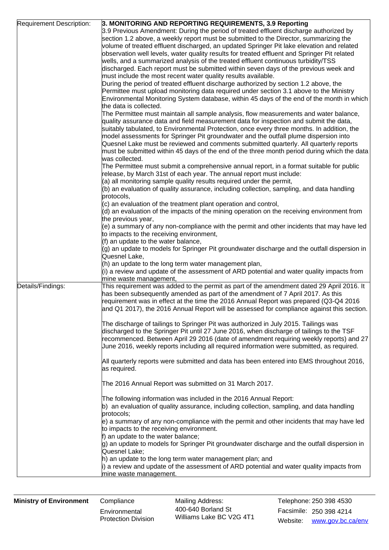| Requirement Description: | 3. MONITORING AND REPORTING REQUIREMENTS, 3.9 Reporting                                      |
|--------------------------|----------------------------------------------------------------------------------------------|
|                          | 3.9 Previous Amendment: During the period of treated effluent discharge authorized by        |
|                          | section 1.2 above, a weekly report must be submitted to the Director, summarizing the        |
|                          | volume of treated effluent discharged, an updated Springer Pit lake elevation and related    |
|                          | observation well levels, water quality results for treated effluent and Springer Pit related |
|                          |                                                                                              |
|                          | wells, and a summarized analysis of the treated effluent continuous turbidity/TSS            |
|                          | discharged. Each report must be submitted within seven days of the previous week and         |
|                          | must include the most recent water quality results available.                                |
|                          | During the period of treated effluent discharge authorized by section 1.2 above, the         |
|                          | Permittee must upload monitoring data required under section 3.1 above to the Ministry       |
|                          | Environmental Monitoring System database, within 45 days of the end of the month in which    |
|                          | the data is collected.                                                                       |
|                          | The Permittee must maintain all sample analysis, flow measurements and water balance,        |
|                          | quality assurance data and field measurement data for inspection and submit the data,        |
|                          | suitably tabulated, to Environmental Protection, once every three months. In addition, the   |
|                          | model assessments for Springer Pit groundwater and the outfall plume dispersion into         |
|                          | Quesnel Lake must be reviewed and comments submitted quarterly. All quarterly reports        |
|                          | must be submitted within 45 days of the end of the three month period during which the data  |
|                          | was collected.                                                                               |
|                          | The Permittee must submit a comprehensive annual report, in a format suitable for public     |
|                          | release, by March 31st of each year. The annual report must include:                         |
|                          | (a) all monitoring sample quality results required under the permit,                         |
|                          | (b) an evaluation of quality assurance, including collection, sampling, and data handling    |
|                          | protocols,                                                                                   |
|                          | (c) an evaluation of the treatment plant operation and control,                              |
|                          | (d) an evaluation of the impacts of the mining operation on the receiving environment from   |
|                          | the previous year,                                                                           |
|                          | (e) a summary of any non-compliance with the permit and other incidents that may have led    |
|                          | to impacts to the receiving environment,                                                     |
|                          | (f) an update to the water balance,                                                          |
|                          | g) an update to models for Springer Pit groundwater discharge and the outfall dispersion in  |
|                          | Quesnel Lake,                                                                                |
|                          | (h) an update to the long term water management plan,                                        |
|                          | (i) a review and update of the assessment of ARD potential and water quality impacts from    |
|                          | mine waste management,                                                                       |
| Details/Findings:        | This requirement was added to the permit as part of the amendment dated 29 April 2016. It    |
|                          | has been subsequently amended as part of the amendment of 7 April 2017. As this              |
|                          | requirement was in effect at the time the 2016 Annual Report was prepared (Q3-Q4 2016        |
|                          | and Q1 2017), the 2016 Annual Report will be assessed for compliance against this section.   |
|                          |                                                                                              |
|                          | The discharge of tailings to Springer Pit was authorized in July 2015. Tailings was          |
|                          | discharged to the Springer Pit until 27 June 2016, when discharge of tailings to the TSF     |
|                          | recommenced. Between April 29 2016 (date of amendment requiring weekly reports) and 27       |
|                          | June 2016, weekly reports including all required information were submitted, as required.    |
|                          |                                                                                              |
|                          | All quarterly reports were submitted and data has been entered into EMS throughout 2016,     |
|                          | as required.                                                                                 |
|                          |                                                                                              |
|                          | The 2016 Annual Report was submitted on 31 March 2017.                                       |
|                          |                                                                                              |
|                          | The following information was included in the 2016 Annual Report:                            |
|                          | b) an evaluation of quality assurance, including collection, sampling, and data handling     |
|                          | protocols;                                                                                   |
|                          | e) a summary of any non-compliance with the permit and other incidents that may have led     |
|                          | to impacts to the receiving environment.                                                     |
|                          | f) an update to the water balance;                                                           |
|                          | g) an update to models for Springer Pit groundwater discharge and the outfall dispersion in  |
|                          | Quesnel Lake;                                                                                |
|                          | h) an update to the long term water management plan; and                                     |
|                          | i) a review and update of the assessment of ARD potential and water quality impacts from     |
|                          |                                                                                              |
|                          | mine waste management.                                                                       |

**Environmental** Protection Division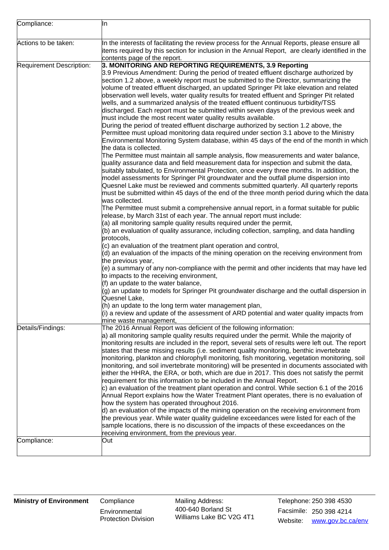| Compliance:              | lln                                                                                                                                                                                                                                                                                                                                                                                                                                                                                                                                                                                       |  |  |  |
|--------------------------|-------------------------------------------------------------------------------------------------------------------------------------------------------------------------------------------------------------------------------------------------------------------------------------------------------------------------------------------------------------------------------------------------------------------------------------------------------------------------------------------------------------------------------------------------------------------------------------------|--|--|--|
| Actions to be taken:     | In the interests of facilitating the review process for the Annual Reports, please ensure all<br>items required by this section for inclusion in the Annual Report, are clearly identified in the<br>contents page of the report.                                                                                                                                                                                                                                                                                                                                                         |  |  |  |
| Requirement Description: | 3. MONITORING AND REPORTING REQUIREMENTS, 3.9 Reporting<br>3.9 Previous Amendment: During the period of treated effluent discharge authorized by<br>section 1.2 above, a weekly report must be submitted to the Director, summarizing the<br>volume of treated effluent discharged, an updated Springer Pit lake elevation and related<br>observation well levels, water quality results for treated effluent and Springer Pit related                                                                                                                                                    |  |  |  |
|                          | wells, and a summarized analysis of the treated effluent continuous turbidity/TSS<br>discharged. Each report must be submitted within seven days of the previous week and<br>must include the most recent water quality results available.<br>During the period of treated effluent discharge authorized by section 1.2 above, the                                                                                                                                                                                                                                                        |  |  |  |
|                          | Permittee must upload monitoring data required under section 3.1 above to the Ministry<br>Environmental Monitoring System database, within 45 days of the end of the month in which<br>the data is collected.<br>The Permittee must maintain all sample analysis, flow measurements and water balance,                                                                                                                                                                                                                                                                                    |  |  |  |
|                          | quality assurance data and field measurement data for inspection and submit the data,<br>suitably tabulated, to Environmental Protection, once every three months. In addition, the<br>model assessments for Springer Pit groundwater and the outfall plume dispersion into<br>Quesnel Lake must be reviewed and comments submitted quarterly. All quarterly reports<br>must be submitted within 45 days of the end of the three month period during which the data<br>was collected.                                                                                                     |  |  |  |
|                          | The Permittee must submit a comprehensive annual report, in a format suitable for public<br>release, by March 31st of each year. The annual report must include:<br>(a) all monitoring sample quality results required under the permit,<br>(b) an evaluation of quality assurance, including collection, sampling, and data handling<br>protocols,                                                                                                                                                                                                                                       |  |  |  |
|                          | (c) an evaluation of the treatment plant operation and control,<br>(d) an evaluation of the impacts of the mining operation on the receiving environment from<br>the previous year,                                                                                                                                                                                                                                                                                                                                                                                                       |  |  |  |
|                          | (e) a summary of any non-compliance with the permit and other incidents that may have led<br>to impacts to the receiving environment,<br>$(f)$ an update to the water balance,                                                                                                                                                                                                                                                                                                                                                                                                            |  |  |  |
|                          | (g) an update to models for Springer Pit groundwater discharge and the outfall dispersion in<br>Quesnel Lake,<br>$(h)$ an update to the long term water management plan,                                                                                                                                                                                                                                                                                                                                                                                                                  |  |  |  |
|                          | (i) a review and update of the assessment of ARD potential and water quality impacts from<br>mine waste management,<br>The 2016 Annual Report was deficient of the following information:                                                                                                                                                                                                                                                                                                                                                                                                 |  |  |  |
| Details/Findings:        | a) all monitoring sample quality results required under the permit. While the majority of<br>monitoring results are included in the report, several sets of results were left out. The report<br>states that these missing results (i.e. sediment quality monitoring, benthic invertebrate<br>monitoring, plankton and chlorophyll monitoring, fish monitoring, vegetation monitoring, soil<br>monitoring, and soil invertebrate monitoring) will be presented in documents associated with<br>either the HHRA, the ERA, or both, which are due in 2017. This does not satisfy the permit |  |  |  |
|                          | requirement for this information to be included in the Annual Report.<br>c) an evaluation of the treatment plant operation and control. While section 6.1 of the 2016<br>Annual Report explains how the Water Treatment Plant operates, there is no evaluation of<br>how the system has operated throughout 2016.<br>d) an evaluation of the impacts of the mining operation on the receiving environment from                                                                                                                                                                            |  |  |  |
|                          | the previous year. While water quality guideline exceedances were listed for each of the<br>sample locations, there is no discussion of the impacts of these exceedances on the<br>receiving environment, from the previous year.                                                                                                                                                                                                                                                                                                                                                         |  |  |  |
| Compliance:              | Out                                                                                                                                                                                                                                                                                                                                                                                                                                                                                                                                                                                       |  |  |  |

**Environmental** Protection Division